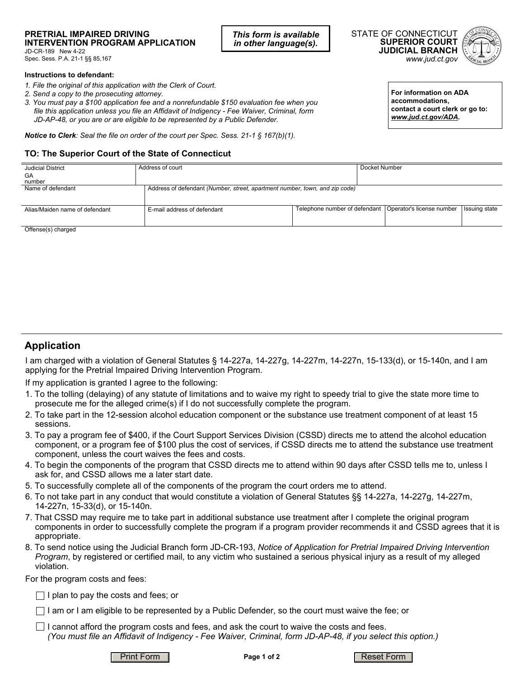## **PRETRIAL IMPAIRED DRIVING INTERVENTION PROGRAM APPLICATION**

JD-CR-189 New 4-22 Spec. Sess. P.A. 21-1 §§ 85,167

#### **Instructions to defendant:**

- *1. File the original of this application with the Clerk of Court.*
- *2. Send a copy to the prosecuting attorney.*
- *3. You must pay a \$100 application fee and a nonrefundable \$150 evaluation fee when you file this application unless you file an Affidavit of Indigency - Fee Waiver, Criminal, form JD-AP-48, or you are or are eligible to be represented by a Public Defender.*

*Notice to Clerk: Seal the file on order of the court per Spec. Sess. 21-1 § 167(b)(1).*

### **TO: The Superior Court of the State of Connecticut**

| <b>Judicial District</b>       | Address of court                                                            |  | Docket Number |                                                           |                      |
|--------------------------------|-----------------------------------------------------------------------------|--|---------------|-----------------------------------------------------------|----------------------|
| GA                             |                                                                             |  |               |                                                           |                      |
| number                         |                                                                             |  |               |                                                           |                      |
| Name of defendant              | Address of defendant (Number, street, apartment number, town, and zip code) |  |               |                                                           |                      |
|                                |                                                                             |  |               |                                                           |                      |
|                                |                                                                             |  |               |                                                           |                      |
| Alias/Maiden name of defendant | E-mail address of defendant                                                 |  |               | Telephone number of defendant   Operator's license number | <b>Issuing state</b> |
|                                |                                                                             |  |               |                                                           |                      |
|                                |                                                                             |  |               |                                                           |                      |
| Offense(s) charged             |                                                                             |  |               |                                                           |                      |

*This form is available in other language(s).*

mense(s) cnarged

## **Application**

I am charged with a violation of General Statutes § 14-227a, 14-227g, 14-227m, 14-227n, 15-133(d), or 15-140n, and I am applying for the Pretrial Impaired Driving Intervention Program.

If my application is granted I agree to the following:

- 1. To the tolling (delaying) of any statute of limitations and to waive my right to speedy trial to give the state more time to prosecute me for the alleged crime(s) if I do not successfully complete the program.
- 2. To take part in the 12-session alcohol education component or the substance use treatment component of at least 15 sessions.
- 3. To pay a program fee of \$400, if the Court Support Services Division (CSSD) directs me to attend the alcohol education component, or a program fee of \$100 plus the cost of services, if CSSD directs me to attend the substance use treatment component, unless the court waives the fees and costs.
- 4. To begin the components of the program that CSSD directs me to attend within 90 days after CSSD tells me to, unless I ask for, and CSSD allows me a later start date.
- 5. To successfully complete all of the components of the program the court orders me to attend.
- 6. To not take part in any conduct that would constitute a violation of General Statutes §§ 14-227a, 14-227g, 14-227m, 14-227n, 15-33(d), or 15-140n.
- 7. That CSSD may require me to take part in additional substance use treatment after I complete the original program components in order to successfully complete the program if a program provider recommends it and CSSD agrees that it is appropriate.
- 8. To send notice using the Judicial Branch form JD-CR-193, *Notice of Application for Pretrial Impaired Driving Intervention Program*, by registered or certified mail, to any victim who sustained a serious physical injury as a result of my alleged violation.

For the program costs and fees:

 $\Box$  I plan to pay the costs and fees; or

 $\Box$  I am or I am eligible to be represented by a Public Defender, so the court must waive the fee; or

 $\Box$  I cannot afford the program costs and fees, and ask the court to waive the costs and fees. *(You must file an Affidavit of Indigency - Fee Waiver, Criminal, form JD-AP-48, if you select this option.)*



**Page 1 of 2**





*www.jud.ct.gov*



**For information on ADA accommodations, contact a court clerk or go to:**  *www.jud.ct.gov/ADA.*